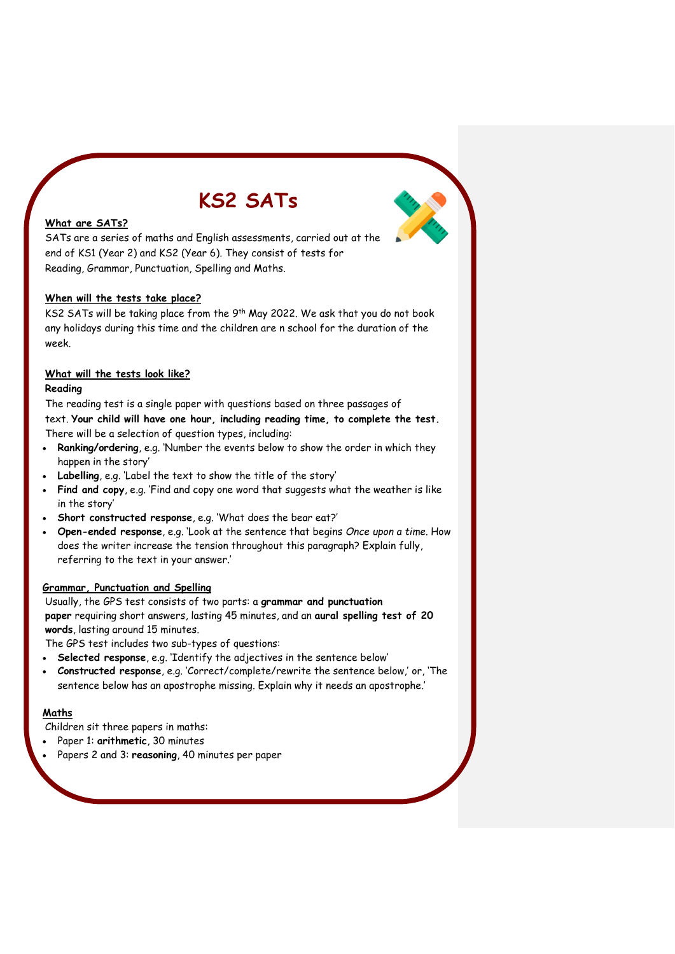# **KS2 SATs**



# **What are SATs?**

SATs are a series of maths and English assessments, carried out at the end of KS1 (Year 2) and KS2 (Year 6). They consist of tests for Reading, Grammar, Punctuation, Spelling and Maths.

#### **When will the tests take place?**

KS2 SATs will be taking place from the 9<sup>th</sup> May 2022. We ask that you do not book any holidays during this time and the children are n school for the duration of the week.

## **What will the tests look like?**

#### **Reading**

The reading test is a single paper with questions based on three passages of

text. **Your child will have one hour, including reading time, to complete the test.** There will be a selection of question types, including:

- **Ranking/ordering**, e.g. 'Number the events below to show the order in which they happen in the story'
- **Labelling**, e.g. 'Label the text to show the title of the story'
- **Find and copy**, e.g. 'Find and copy one word that suggests what the weather is like in the story'
- **Short constructed response**, e.g. 'What does the bear eat?'
- **Open-ended response**, e.g. 'Look at the sentence that begins *Once upon a time*. How does the writer increase the tension throughout this paragraph? Explain fully, referring to the text in your answer.'

#### **Grammar, Punctuation and Spelling**

Usually, the GPS test consists of two parts: a **grammar and punctuation paper** requiring short answers, lasting 45 minutes, and an **aural spelling test of 20 words**, lasting around 15 minutes.

The GPS test includes two sub-types of questions:

- **Selected response**, e.g. 'Identify the adjectives in the sentence below'
- **Constructed response**, e.g. 'Correct/complete/rewrite the sentence below,' or, 'The sentence below has an apostrophe missing. Explain why it needs an apostrophe.'

## **Maths**

Children sit three papers in maths:

- Paper 1: **arithmetic**, 30 minutes
- Papers 2 and 3: **reasoning**, 40 minutes per paper